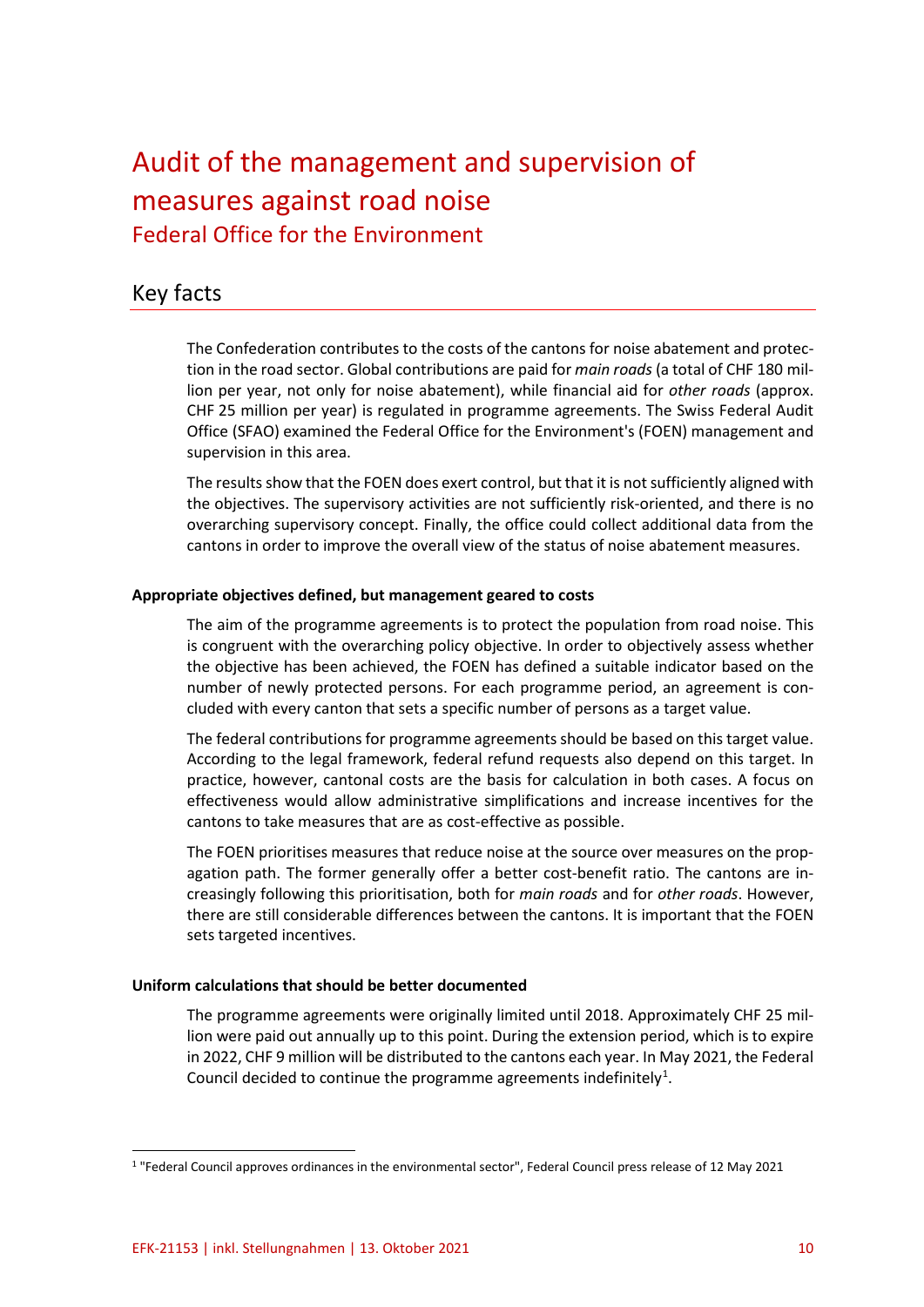# Audit of the management and supervision of measures against road noise Federal Office for the Environment

# Key facts

The Confederation contributes to the costs of the cantons for noise abatement and protection in the road sector. Global contributions are paid for *main roads* (a total of CHF 180 million per year, not only for noise abatement), while financial aid for *other roads* (approx. CHF 25 million per year) is regulated in programme agreements. The Swiss Federal Audit Office (SFAO) examined the Federal Office for the Environment's (FOEN) management and supervision in this area.

The results show that the FOEN does exert control, but that it is not sufficiently aligned with the objectives. The supervisory activities are not sufficiently risk-oriented, and there is no overarching supervisory concept. Finally, the office could collect additional data from the cantons in order to improve the overall view of the status of noise abatement measures.

## **Appropriate objectives defined, but management geared to costs**

The aim of the programme agreements is to protect the population from road noise. This is congruent with the overarching policy objective. In order to objectively assess whether the objective has been achieved, the FOEN has defined a suitable indicator based on the number of newly protected persons. For each programme period, an agreement is concluded with every canton that sets a specific number of persons as a target value.

The federal contributions for programme agreements should be based on this target value. According to the legal framework, federal refund requests also depend on this target. In practice, however, cantonal costs are the basis for calculation in both cases. A focus on effectiveness would allow administrative simplifications and increase incentives for the cantons to take measures that are as cost-effective as possible.

The FOEN prioritises measures that reduce noise at the source over measures on the propagation path. The former generally offer a better cost-benefit ratio. The cantons are increasingly following this prioritisation, both for *main roads* and for *other roads*. However, there are still considerable differences between the cantons. It is important that the FOEN sets targeted incentives.

## **Uniform calculations that should be better documented**

The programme agreements were originally limited until 2018. Approximately CHF 25 million were paid out annually up to this point. During the extension period, which is to expire in 2022, CHF 9 million will be distributed to the cantons each year. In May 2021, the Federal Council decided to continue the programme agreements indefinitely<sup>[1](#page-0-0)</sup>.

<span id="page-0-0"></span> <sup>1</sup> "Federal Council approves ordinances in the environmental sector", Federal Council press release of 12 May 2021